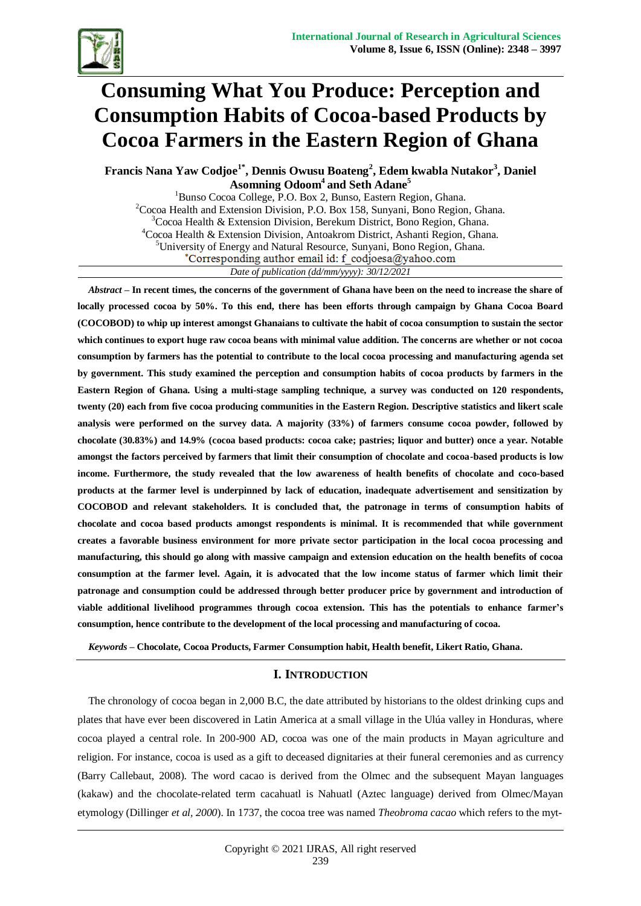

# **Consuming What You Produce: Perception and Consumption Habits of Cocoa-based Products by Cocoa Farmers in the Eastern Region of Ghana**

**Francis Nana Yaw Codjoe1\*, Dennis Owusu Boateng<sup>2</sup> , Edem kwabla Nutakor<sup>3</sup> , Daniel Asomning Odoom<sup>4</sup>and Seth Adane<sup>5</sup>**

<sup>1</sup>Bunso Cocoa College, P.O. Box 2, Bunso, Eastern Region, Ghana.  $2^2$ Cocoa Health and Extension Division, P.O. Box 158, Sunyani, Bono Region, Ghana.  $3C$ ocoa Health & Extension Division, Berekum District, Bono Region, Ghana. <sup>4</sup>Cocoa Health & Extension Division, Antoakrom District, Ashanti Region, Ghana. <sup>5</sup>University of Energy and Natural Resource, Sunyani, Bono Region, Ghana. \*Corresponding author email id: f codjoesa@yahoo.com *Date of publication (dd/mm/yyyy): 30/12/2021*

*Abstract –* **In recent times, the concerns of the government of Ghana have been on the need to increase the share of locally processed cocoa by 50%. To this end, there has been efforts through campaign by Ghana Cocoa Board (COCOBOD) to whip up interest amongst Ghanaians to cultivate the habit of cocoa consumption to sustain the sector which continues to export huge raw cocoa beans with minimal value addition. The concerns are whether or not cocoa consumption by farmers has the potential to contribute to the local cocoa processing and manufacturing agenda set by government. This study examined the perception and consumption habits of cocoa products by farmers in the Eastern Region of Ghana. Using a multi-stage sampling technique, a survey was conducted on 120 respondents, twenty (20) each from five cocoa producing communities in the Eastern Region. Descriptive statistics and likert scale analysis were performed on the survey data. A majority (33%) of farmers consume cocoa powder, followed by chocolate (30.83%) and 14.9% (cocoa based products: cocoa cake; pastries; liquor and butter) once a year. Notable amongst the factors perceived by farmers that limit their consumption of chocolate and cocoa-based products is low income. Furthermore, the study revealed that the low awareness of health benefits of chocolate and coco-based products at the farmer level is underpinned by lack of education, inadequate advertisement and sensitization by COCOBOD and relevant stakeholders. It is concluded that, the patronage in terms of consumption habits of chocolate and cocoa based products amongst respondents is minimal. It is recommended that while government creates a favorable business environment for more private sector participation in the local cocoa processing and manufacturing, this should go along with massive campaign and extension education on the health benefits of cocoa consumption at the farmer level. Again, it is advocated that the low income status of farmer which limit their patronage and consumption could be addressed through better producer price by government and introduction of viable additional livelihood programmes through cocoa extension. This has the potentials to enhance farmer's consumption, hence contribute to the development of the local processing and manufacturing of cocoa.**

*Keywords –* **Chocolate, Cocoa Products, Farmer Consumption habit, Health benefit, Likert Ratio, Ghana.**

### **I. INTRODUCTION**

The chronology of cocoa began in 2,000 B.C, the date attributed by historians to the oldest drinking cups and plates that have ever been discovered in Latin America at a small village in the Ulúa valley in Honduras, where cocoa played a central role. In 200-900 AD, cocoa was one of the main products in Mayan agriculture and religion. For instance, cocoa is used as a gift to deceased dignitaries at their funeral ceremonies and as currency (Barry Callebaut, 2008). The word cacao is derived from the Olmec and the subsequent Mayan languages (kakaw) and the chocolate-related term cacahuatl is Nahuatl (Aztec language) derived from Olmec/Mayan etymology (Dillinger *et al, 2000*). In 1737, the cocoa tree was named *Theobroma cacao* which refers to the myt-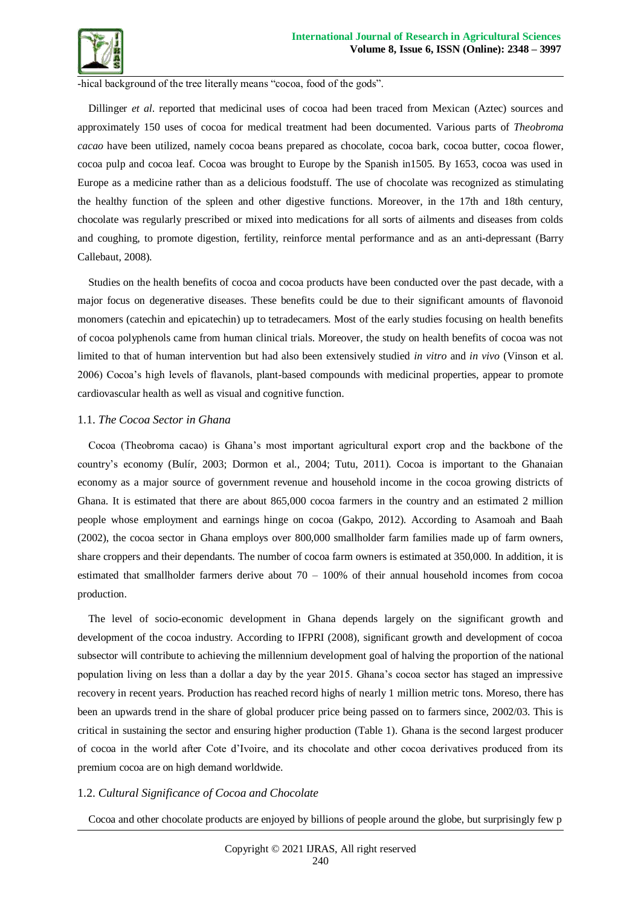

-hical background of the tree literally means "cocoa, food of the gods".

Dillinger *et al*. reported that medicinal uses of cocoa had been traced from Mexican (Aztec) sources and approximately 150 uses of cocoa for medical treatment had been documented. Various parts of *Theobroma cacao* have been utilized, namely cocoa beans prepared as chocolate, cocoa bark, cocoa butter, cocoa flower, cocoa pulp and cocoa leaf. Cocoa was brought to Europe by the Spanish in1505. By 1653, cocoa was used in Europe as a medicine rather than as a delicious foodstuff. The use of chocolate was recognized as stimulating the healthy function of the spleen and other digestive functions. Moreover, in the 17th and 18th century, chocolate was regularly prescribed or mixed into medications for all sorts of ailments and diseases from colds and coughing, to promote digestion, fertility, reinforce mental performance and as an anti-depressant (Barry Callebaut, 2008).

Studies on the health benefits of cocoa and cocoa products have been conducted over the past decade, with a major focus on degenerative diseases. These benefits could be due to their significant amounts of flavonoid monomers (catechin and epicatechin) up to tetradecamers. Most of the early studies focusing on health benefits of cocoa polyphenols came from human clinical trials. Moreover, the study on health benefits of cocoa was not limited to that of human intervention but had also been extensively studied *in vitro* and *in vivo* (Vinson et al. 2006) Cocoa's high levels of flavanols, plant-based compounds with medicinal properties, appear to promote cardiovascular health as well as visual and cognitive function.

### 1.1. *The Cocoa Sector in Ghana*

Cocoa (Theobroma cacao) is Ghana's most important agricultural export crop and the backbone of the country's economy (Bulír, 2003; Dormon et al., 2004; Tutu, 2011). Cocoa is important to the Ghanaian economy as a major source of government revenue and household income in the cocoa growing districts of Ghana. It is estimated that there are about 865,000 cocoa farmers in the country and an estimated 2 million people whose employment and earnings hinge on cocoa (Gakpo, 2012). According to Asamoah and Baah (2002), the cocoa sector in Ghana employs over 800,000 smallholder farm families made up of farm owners, share croppers and their dependants. The number of cocoa farm owners is estimated at 350,000. In addition, it is estimated that smallholder farmers derive about 70 – 100% of their annual household incomes from cocoa production.

The level of socio-economic development in Ghana depends largely on the significant growth and development of the cocoa industry. According to IFPRI (2008), significant growth and development of cocoa subsector will contribute to achieving the millennium development goal of halving the proportion of the national population living on less than a dollar a day by the year 2015. Ghana's cocoa sector has staged an impressive recovery in recent years. Production has reached record highs of nearly 1 million metric tons. Moreso, there has been an upwards trend in the share of global producer price being passed on to farmers since, 2002/03. This is critical in sustaining the sector and ensuring higher production (Table 1). Ghana is the second largest producer of cocoa in the world after Cote d'Ivoire, and its chocolate and other cocoa derivatives produced from its premium cocoa are on high demand worldwide.

### 1.2. *Cultural Significance of Cocoa and Chocolate*

Cocoa and other chocolate products are enjoyed by billions of people around the globe, but surprisingly few p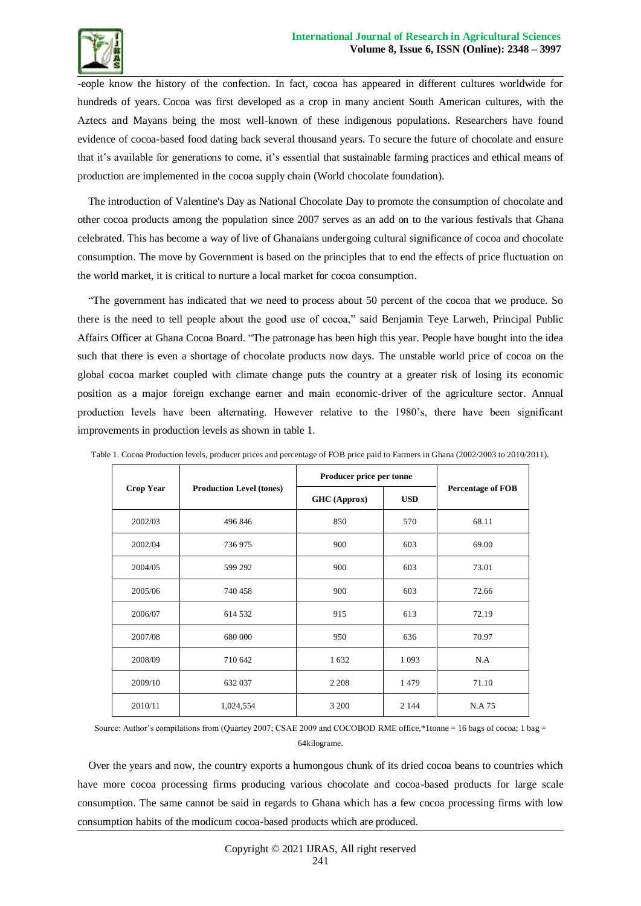

-eople know the history of the confection. In fact, cocoa has appeared in different cultures worldwide for hundreds of years. Cocoa was first developed as a crop in many ancient South American cultures, with the Aztecs and Mayans being the most well-known of these indigenous populations. Researchers have found evidence of cocoa-based food dating back several thousand years. To secure the future of chocolate and ensure that it's available for generations to come, it's essential that sustainable farming practices and ethical means of production are implemented in the cocoa supply chain (World chocolate foundation).

The introduction of Valentine's Day as National Chocolate Day to promote the consumption of chocolate and other cocoa products among the population since 2007 serves as an add on to the various festivals that Ghana celebrated. This has become a way of live of Ghanaians undergoing cultural significance of cocoa and chocolate consumption. The move by Government is based on the principles that to end the effects of price fluctuation on the world market, it is critical to nurture a local market for cocoa consumption.

"The government has indicated that we need to process about 50 percent of the cocoa that we produce. So there is the need to tell people about the good use of cocoa," said Benjamin Teye Larweh, Principal Public Affairs Officer at Ghana Cocoa Board. "The patronage has been high this year. People have bought into the idea such that there is even a shortage of chocolate products now days. The unstable world price of cocoa on the global cocoa market coupled with climate change puts the country at a greater risk of losing its economic position as a major foreign exchange earner and main economic-driver of the agriculture sector. Annual production levels have been alternating. However relative to the 1980's, there have been significant improvements in production levels as shown in table 1.

|                  |                                 | Producer price per tonne |            |                          |  |
|------------------|---------------------------------|--------------------------|------------|--------------------------|--|
| <b>Crop Year</b> | <b>Production Level (tones)</b> | <b>GHC</b> (Approx)      | <b>USD</b> | <b>Percentage of FOB</b> |  |
| 2002/03          | 496 846                         | 850                      | 570        | 68.11                    |  |
| 2002/04          | 736 975                         | 900<br>603               |            | 69.00                    |  |
| 2004/05          | 599 292                         | 900                      | 603        | 73.01                    |  |
| 2005/06          | 740 458                         | 900                      | 603        | 72.66                    |  |
| 2006/07          | 614 532                         | 915                      | 613        | 72.19                    |  |
| 2007/08          | 680 000                         | 950                      | 636        | 70.97                    |  |
| 2008/09          | 710 642                         | 1632                     | 1 0 9 3    | N.A                      |  |
| 2009/10          | 632 037                         | 2 2 0 8                  | 1479       | 71.10                    |  |
| 2010/11          | 1,024,554                       | 3 2 0 0                  | 2 1 4 4    | N.A 75                   |  |

Table 1. Cocoa Production levels, producer prices and percentage of FOB price paid to Farmers in Ghana (2002/2003 to 2010/2011).

Source: Author's compilations from (Quartey 2007; CSAE 2009 and COCOBOD RME office,\*1tonne = 16 bags of cocoa; 1 bag = 64kilograme.

Over the years and now, the country exports a humongous chunk of its dried cocoa beans to countries which have more cocoa processing firms producing various chocolate and cocoa-based products for large scale consumption. The same cannot be said in regards to Ghana which has a few cocoa processing firms with low consumption habits of the modicum cocoa-based products which are produced.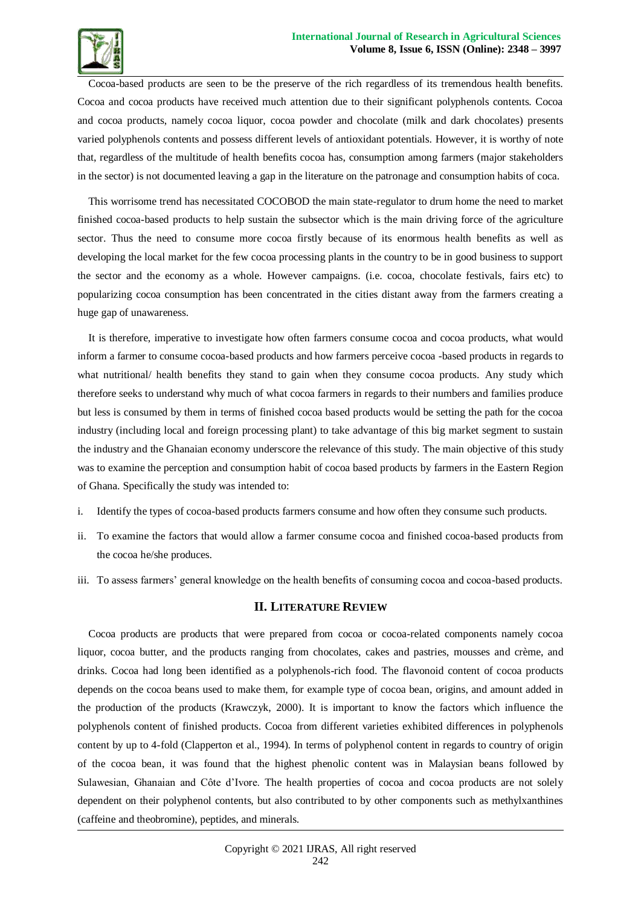

Cocoa-based products are seen to be the preserve of the rich regardless of its tremendous health benefits. Cocoa and cocoa products have received much attention due to their significant polyphenols contents. Cocoa and cocoa products, namely cocoa liquor, cocoa powder and chocolate (milk and dark chocolates) presents varied polyphenols contents and possess different levels of antioxidant potentials. However, it is worthy of note that, regardless of the multitude of health benefits cocoa has, consumption among farmers (major stakeholders in the sector) is not documented leaving a gap in the literature on the patronage and consumption habits of coca.

This worrisome trend has necessitated COCOBOD the main state-regulator to drum home the need to market finished cocoa-based products to help sustain the subsector which is the main driving force of the agriculture sector. Thus the need to consume more cocoa firstly because of its enormous health benefits as well as developing the local market for the few cocoa processing plants in the country to be in good business to support the sector and the economy as a whole. However campaigns. (i.e. cocoa, chocolate festivals, fairs etc) to popularizing cocoa consumption has been concentrated in the cities distant away from the farmers creating a huge gap of unawareness.

It is therefore, imperative to investigate how often farmers consume cocoa and cocoa products, what would inform a farmer to consume cocoa-based products and how farmers perceive cocoa -based products in regards to what nutritional/ health benefits they stand to gain when they consume cocoa products. Any study which therefore seeks to understand why much of what cocoa farmers in regards to their numbers and families produce but less is consumed by them in terms of finished cocoa based products would be setting the path for the cocoa industry (including local and foreign processing plant) to take advantage of this big market segment to sustain the industry and the Ghanaian economy underscore the relevance of this study. The main objective of this study was to examine the perception and consumption habit of cocoa based products by farmers in the Eastern Region of Ghana. Specifically the study was intended to:

- i. Identify the types of cocoa-based products farmers consume and how often they consume such products.
- ii. To examine the factors that would allow a farmer consume cocoa and finished cocoa-based products from the cocoa he/she produces.
- iii. To assess farmers' general knowledge on the health benefits of consuming cocoa and cocoa-based products.

### **II. LITERATURE REVIEW**

Cocoa products are products that were prepared from cocoa or cocoa-related components namely cocoa liquor, cocoa butter, and the products ranging from chocolates, cakes and pastries, mousses and crème, and drinks. Cocoa had long been identified as a polyphenols-rich food. The flavonoid content of cocoa products depends on the cocoa beans used to make them, for example type of cocoa bean, origins, and amount added in the production of the products (Krawczyk, 2000). It is important to know the factors which influence the polyphenols content of finished products. Cocoa from different varieties exhibited differences in polyphenols content by up to 4-fold (Clapperton et al., 1994). In terms of polyphenol content in regards to country of origin of the cocoa bean, it was found that the highest phenolic content was in Malaysian beans followed by Sulawesian, Ghanaian and Côte d'Ivore. The health properties of cocoa and cocoa products are not solely dependent on their polyphenol contents, but also contributed to by other components such as methylxanthines (caffeine and theobromine), peptides, and minerals.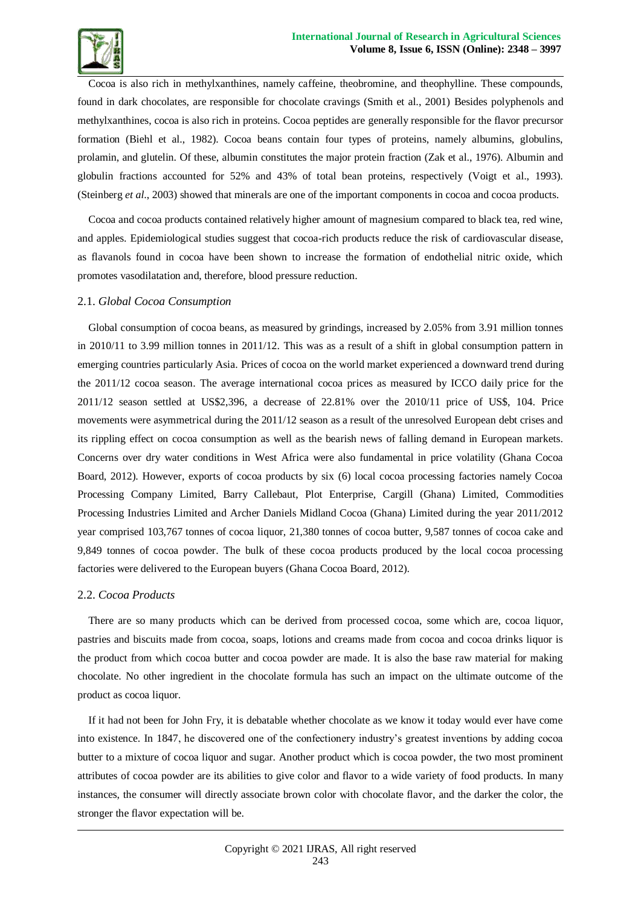

Cocoa is also rich in methylxanthines, namely caffeine, theobromine, and theophylline. These compounds, found in dark chocolates, are responsible for chocolate cravings (Smith et al., 2001) Besides polyphenols and methylxanthines, cocoa is also rich in proteins. Cocoa peptides are generally responsible for the flavor precursor formation (Biehl et al., 1982). Cocoa beans contain four types of proteins, namely albumins, globulins, prolamin, and glutelin. Of these, albumin constitutes the major protein fraction (Zak et al., 1976). Albumin and globulin fractions accounted for 52% and 43% of total bean proteins, respectively (Voigt et al., 1993). (Steinberg *et al*., 2003) showed that minerals are one of the important components in cocoa and cocoa products.

Cocoa and cocoa products contained relatively higher amount of magnesium compared to black tea, red wine, and apples. Epidemiological studies suggest that cocoa-rich products reduce the risk of cardiovascular disease, as flavanols found in cocoa have been shown to increase the formation of endothelial nitric oxide, which promotes vasodilatation and, therefore, blood pressure reduction.

### 2.1. *Global Cocoa Consumption*

Global consumption of cocoa beans, as measured by grindings, increased by 2.05% from 3.91 million tonnes in 2010/11 to 3.99 million tonnes in 2011/12. This was as a result of a shift in global consumption pattern in emerging countries particularly Asia. Prices of cocoa on the world market experienced a downward trend during the 2011/12 cocoa season. The average international cocoa prices as measured by ICCO daily price for the 2011/12 season settled at US\$2,396, a decrease of 22.81% over the 2010/11 price of US\$, 104. Price movements were asymmetrical during the 2011/12 season as a result of the unresolved European debt crises and its rippling effect on cocoa consumption as well as the bearish news of falling demand in European markets. Concerns over dry water conditions in West Africa were also fundamental in price volatility (Ghana Cocoa Board, 2012). However, exports of cocoa products by six (6) local cocoa processing factories namely Cocoa Processing Company Limited, Barry Callebaut, Plot Enterprise, Cargill (Ghana) Limited, Commodities Processing Industries Limited and Archer Daniels Midland Cocoa (Ghana) Limited during the year 2011/2012 year comprised 103,767 tonnes of cocoa liquor, 21,380 tonnes of cocoa butter, 9,587 tonnes of cocoa cake and 9,849 tonnes of cocoa powder. The bulk of these cocoa products produced by the local cocoa processing factories were delivered to the European buyers (Ghana Cocoa Board, 2012).

### 2.2. *Cocoa Products*

There are so many products which can be derived from processed cocoa, some which are, cocoa liquor, pastries and biscuits made from cocoa, soaps, lotions and creams made from cocoa and cocoa drinks liquor is the product from which cocoa butter and cocoa powder are made. It is also the base raw material for making chocolate. No other ingredient in the chocolate formula has such an impact on the ultimate outcome of the product as cocoa liquor.

If it had not been for John Fry, it is debatable whether chocolate as we know it today would ever have come into existence. In 1847, he discovered one of the confectionery industry's greatest inventions by adding cocoa butter to a mixture of cocoa liquor and sugar. Another product which is cocoa powder, the two most prominent attributes of cocoa powder are its abilities to give color and flavor to a wide variety of food products. In many instances, the consumer will directly associate brown color with chocolate flavor, and the darker the color, the stronger the flavor expectation will be.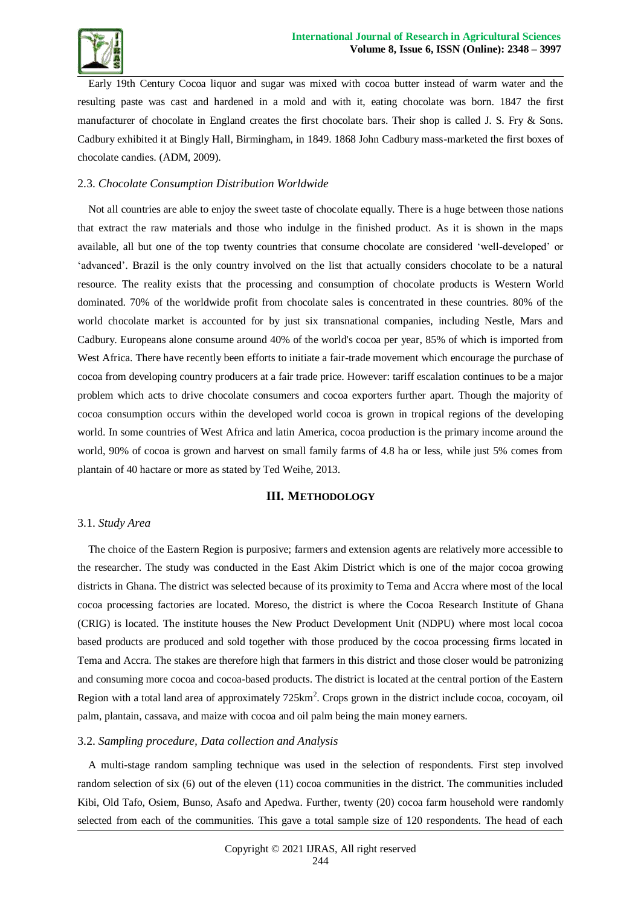![](_page_5_Picture_0.jpeg)

Early 19th Century Cocoa liquor and sugar was mixed with cocoa butter instead of warm water and the resulting paste was cast and hardened in a mold and with it, eating chocolate was born. 1847 the first manufacturer of chocolate in England creates the first chocolate bars. Their shop is called J. S. Fry & Sons. Cadbury exhibited it at Bingly Hall, Birmingham, in 1849. 1868 John Cadbury mass-marketed the first boxes of chocolate candies. (ADM, 2009).

### 2.3. *Chocolate Consumption Distribution Worldwide*

Not all countries are able to enjoy the sweet taste of chocolate equally. There is a huge between those nations that extract the raw materials and those who indulge in the finished product. As it is shown in the maps available, all but one of the top twenty countries that consume chocolate are considered 'well-developed' or 'advanced'. Brazil is the only country involved on the list that actually considers chocolate to be a natural resource. The reality exists that the processing and consumption of chocolate products is Western World dominated. 70% of the worldwide profit from chocolate sales is concentrated in these countries. 80% of the world chocolate market is accounted for by just six transnational companies, including Nestle, Mars and Cadbury. Europeans alone consume around 40% of the world's cocoa per year, 85% of which is imported from West Africa. There have recently been efforts to initiate a fair-trade movement which encourage the purchase of cocoa from developing country producers at a fair trade price. However: tariff escalation continues to be a major problem which acts to drive chocolate consumers and cocoa exporters further apart. Though the majority of cocoa consumption occurs within the developed world cocoa is grown in tropical regions of the developing world. In some countries of West Africa and latin America, cocoa production is the primary income around the world, 90% of cocoa is grown and harvest on small family farms of 4.8 ha or less, while just 5% comes from plantain of 40 hactare or more as stated by Ted Weihe, 2013.

### **III. METHODOLOGY**

### 3.1. *Study Area*

The choice of the Eastern Region is purposive; farmers and extension agents are relatively more accessible to the researcher. The study was conducted in the East Akim District which is one of the major cocoa growing districts in Ghana. The district was selected because of its proximity to Tema and Accra where most of the local cocoa processing factories are located. Moreso, the district is where the Cocoa Research Institute of Ghana (CRIG) is located. The institute houses the New Product Development Unit (NDPU) where most local cocoa based products are produced and sold together with those produced by the cocoa processing firms located in Tema and Accra. The stakes are therefore high that farmers in this district and those closer would be patronizing and consuming more cocoa and cocoa-based products. The district is located at the central portion of the Eastern Region with a total land area of approximately  $725 \text{km}^2$ . Crops grown in the district include cocoa, cocoyam, oil palm, plantain, cassava, and maize with cocoa and oil palm being the main money earners.

### 3.2. *Sampling procedure, Data collection and Analysis*

A multi-stage random sampling technique was used in the selection of respondents. First step involved random selection of six (6) out of the eleven (11) cocoa communities in the district. The communities included Kibi, Old Tafo, Osiem, Bunso, Asafo and Apedwa. Further, twenty (20) cocoa farm household were randomly selected from each of the communities. This gave a total sample size of 120 respondents. The head of each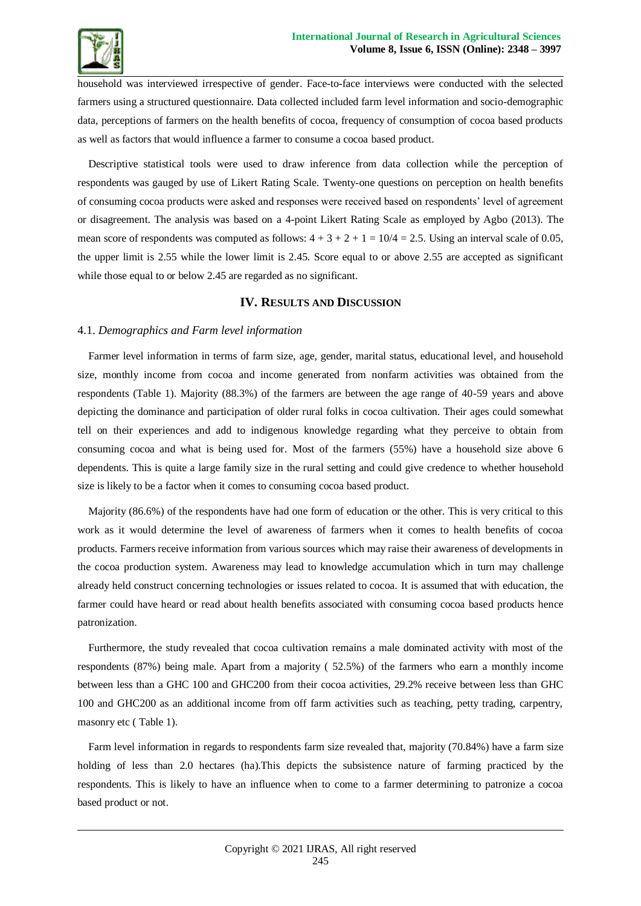![](_page_6_Picture_1.jpeg)

household was interviewed irrespective of gender. Face-to-face interviews were conducted with the selected farmers using a structured questionnaire. Data collected included farm level information and socio-demographic data, perceptions of farmers on the health benefits of cocoa, frequency of consumption of cocoa based products as well as factors that would influence a farmer to consume a cocoa based product.

Descriptive statistical tools were used to draw inference from data collection while the perception of respondents was gauged by use of Likert Rating Scale. Twenty-one questions on perception on health benefits of consuming cocoa products were asked and responses were received based on respondents' level of agreement or disagreement. The analysis was based on a 4-point Likert Rating Scale as employed by Agbo (2013). The mean score of respondents was computed as follows:  $4 + 3 + 2 + 1 = 10/4 = 2.5$ . Using an interval scale of 0.05, the upper limit is 2.55 while the lower limit is 2.45. Score equal to or above 2.55 are accepted as significant while those equal to or below 2.45 are regarded as no significant.

### **IV. RESULTS AND DISCUSSION**

### 4.1. *Demographics and Farm level information*

Farmer level information in terms of farm size, age, gender, marital status, educational level, and household size, monthly income from cocoa and income generated from nonfarm activities was obtained from the respondents (Table 1). Majority (88.3%) of the farmers are between the age range of 40-59 years and above depicting the dominance and participation of older rural folks in cocoa cultivation. Their ages could somewhat tell on their experiences and add to indigenous knowledge regarding what they perceive to obtain from consuming cocoa and what is being used for. Most of the farmers (55%) have a household size above 6 dependents. This is quite a large family size in the rural setting and could give credence to whether household size is likely to be a factor when it comes to consuming cocoa based product.

Majority (86.6%) of the respondents have had one form of education or the other. This is very critical to this work as it would determine the level of awareness of farmers when it comes to health benefits of cocoa products. Farmers receive information from various sources which may raise their awareness of developments in the cocoa production system. Awareness may lead to knowledge accumulation which in turn may challenge already held construct concerning technologies or issues related to cocoa. It is assumed that with education, the farmer could have heard or read about health benefits associated with consuming cocoa based products hence patronization.

Furthermore, the study revealed that cocoa cultivation remains a male dominated activity with most of the respondents (87%) being male. Apart from a majority ( 52.5%) of the farmers who earn a monthly income between less than a GHC 100 and GHC200 from their cocoa activities, 29.2% receive between less than GHC 100 and GHC200 as an additional income from off farm activities such as teaching, petty trading, carpentry, masonry etc ( Table 1).

Farm level information in regards to respondents farm size revealed that, majority (70.84%) have a farm size holding of less than 2.0 hectares (ha).This depicts the subsistence nature of farming practiced by the respondents. This is likely to have an influence when to come to a farmer determining to patronize a cocoa based product or not.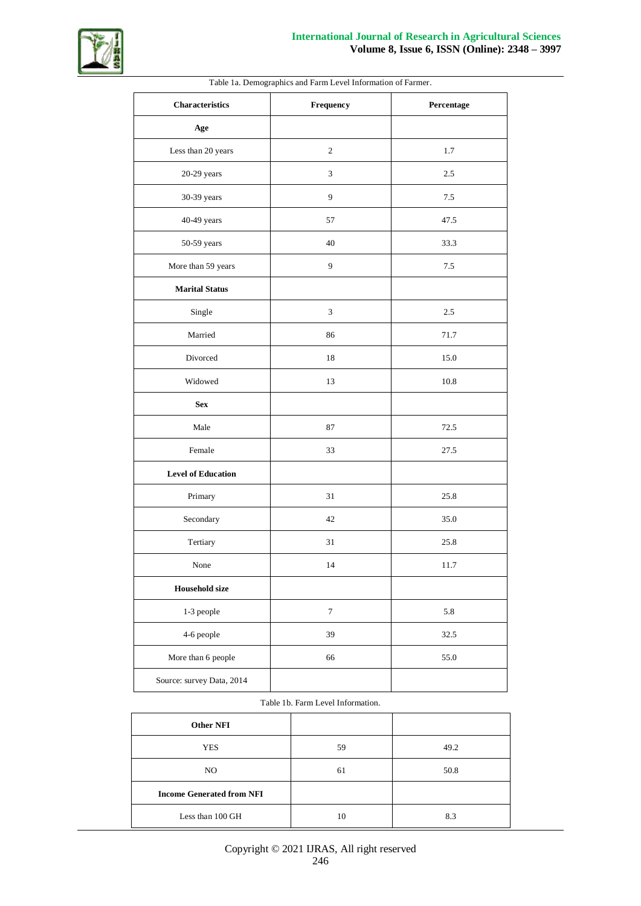![](_page_7_Picture_0.jpeg)

| <b>Characteristics</b>    | Frequency        | Percentage |
|---------------------------|------------------|------------|
| Age                       |                  |            |
| Less than 20 years        | $\sqrt{2}$       | 1.7        |
| $20-29$ years             | $\overline{3}$   | 2.5        |
| 30-39 years               | 9                | 7.5        |
| 40-49 years               | 57               | 47.5       |
| 50-59 years               | 40               | 33.3       |
| More than 59 years        | 9                | 7.5        |
| <b>Marital Status</b>     |                  |            |
| Single                    | $\mathfrak{Z}$   | 2.5        |
| Married                   | 86               | 71.7       |
| Divorced                  | 18               | 15.0       |
| Widowed                   | 13               | 10.8       |
| <b>Sex</b>                |                  |            |
| Male                      | 87               | 72.5       |
| Female                    | 33               | 27.5       |
| <b>Level of Education</b> |                  |            |
| Primary                   | 31               | 25.8       |
| Secondary                 | 42               | 35.0       |
| Tertiary                  | 31               | 25.8       |
| None                      | 14               | 11.7       |
| <b>Household size</b>     |                  |            |
| 1-3 people                | $\boldsymbol{7}$ | 5.8        |
| 4-6 people                | 39               | 32.5       |
| More than 6 people        | 66               | 55.0       |
| Source: survey Data, 2014 |                  |            |

Table 1a. Demographics and Farm Level Information of Farmer.

### Table 1b. Farm Level Information.

| <b>Other NFI</b>                 |    |      |
|----------------------------------|----|------|
| <b>YES</b>                       | 59 | 49.2 |
| NO.                              | 61 | 50.8 |
| <b>Income Generated from NFI</b> |    |      |
| Less than 100 GH                 | 10 | 8.3  |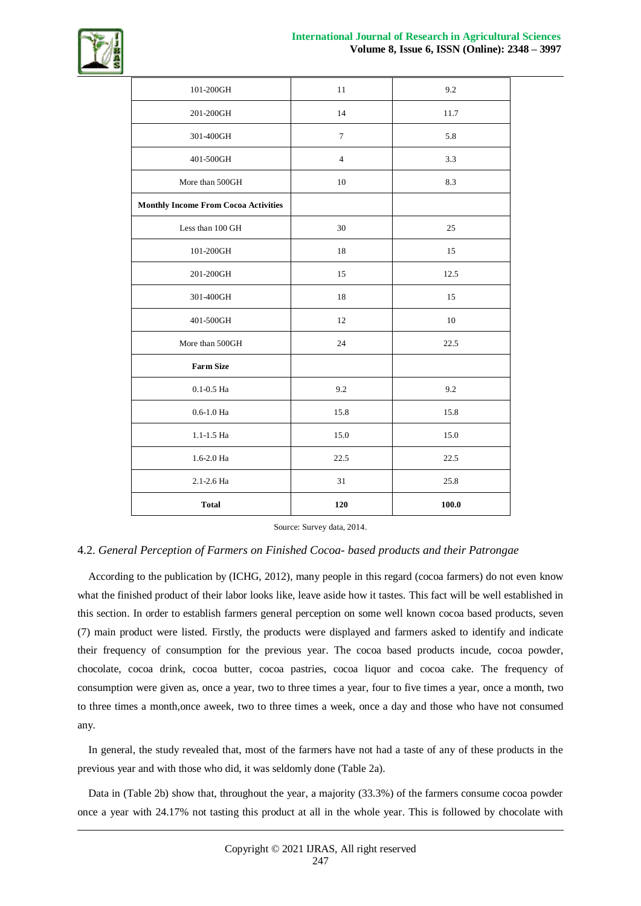![](_page_8_Picture_1.jpeg)

| $101\mbox{-}200\mbox{GH}$                   | 11              | 9.2   |
|---------------------------------------------|-----------------|-------|
| 201-200GH                                   | 14              | 11.7  |
| 301-400GH                                   | $7\phantom{.0}$ | 5.8   |
| 401-500GH                                   | $\overline{4}$  | 3.3   |
| More than 500GH                             | 10              | 8.3   |
| <b>Monthly Income From Cocoa Activities</b> |                 |       |
| Less than 100 GH                            | 30              | 25    |
| 101-200GH                                   | 18              | 15    |
| 201-200GH                                   | 15              | 12.5  |
| 301-400GH                                   | 18              | 15    |
| 401-500GH                                   | 12              | 10    |
| More than 500GH                             | 24              | 22.5  |
| <b>Farm Size</b>                            |                 |       |
| $0.1 - 0.5$ Ha                              | 9.2             | 9.2   |
| $0.6 - 1.0$ Ha                              | 15.8            | 15.8  |
| 1.1-1.5 Ha                                  | 15.0            | 15.0  |
| 1.6-2.0 Ha                                  | 22.5            | 22.5  |
| 2.1-2.6 Ha                                  | 31              | 25.8  |
| <b>Total</b>                                | 120             | 100.0 |

Source: Survey data, 2014.

### 4.2. *General Perception of Farmers on Finished Cocoa- based products and their Patrongae*

According to the publication by (ICHG, 2012), many people in this regard (cocoa farmers) do not even know what the finished product of their labor looks like, leave aside how it tastes. This fact will be well established in this section. In order to establish farmers general perception on some well known cocoa based products, seven (7) main product were listed. Firstly, the products were displayed and farmers asked to identify and indicate their frequency of consumption for the previous year. The cocoa based products incude, cocoa powder, chocolate, cocoa drink, cocoa butter, cocoa pastries, cocoa liquor and cocoa cake. The frequency of consumption were given as, once a year, two to three times a year, four to five times a year, once a month, two to three times a month,once aweek, two to three times a week, once a day and those who have not consumed any.

In general, the study revealed that, most of the farmers have not had a taste of any of these products in the previous year and with those who did, it was seldomly done (Table 2a).

Data in (Table 2b) show that, throughout the year, a majority (33.3%) of the farmers consume cocoa powder once a year with 24.17% not tasting this product at all in the whole year. This is followed by chocolate with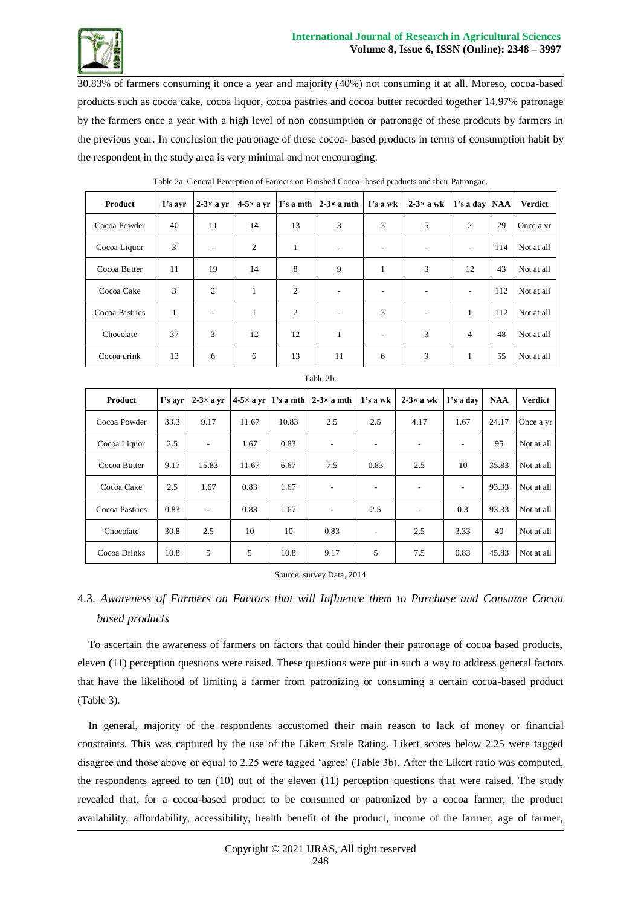![](_page_9_Picture_0.jpeg)

30.83% of farmers consuming it once a year and majority (40%) not consuming it at all. Moreso, cocoa-based products such as cocoa cake, cocoa liquor, cocoa pastries and cocoa butter recorded together 14.97% patronage by the farmers once a year with a high level of non consumption or patronage of these prodcuts by farmers in the previous year. In conclusion the patronage of these cocoa- based products in terms of consumption habit by the respondent in the study area is very minimal and not encouraging.

| Product        | 1's ayr      | $2-3\times a$ yr | $4-5\times$ a yr |                | 1's a mth $\vert 2-3 \times a$ mth | $1's$ a wk               | $2-3\times a$ wk | 1's a day   NAA |     | <b>Verdict</b> |
|----------------|--------------|------------------|------------------|----------------|------------------------------------|--------------------------|------------------|-----------------|-----|----------------|
| Cocoa Powder   | 40           | 11               | 14               | 13             | 3                                  | 3                        | 5                | 2               | 29  | Once a yr      |
| Cocoa Liquor   | 3            | ۰                | 2                | 1              | ۰                                  | $\overline{\phantom{a}}$ | ۰                | ۰               | 114 | Not at all     |
| Cocoa Butter   | 11           | 19               | 14               | 8              | 9                                  | 1                        | 3                | 12              | 43  | Not at all     |
| Cocoa Cake     | 3            | 2                | 1                | 2              | ۰                                  | $\overline{\phantom{a}}$ | ٠                | ۰               | 112 | Not at all     |
| Cocoa Pastries | $\mathbf{1}$ | ۰                | 1                | $\overline{c}$ | ۰                                  | 3                        | ٠                | 1               | 112 | Not at all     |
| Chocolate      | 37           | 3                | 12               | 12             | $\mathbf{1}$                       | $\overline{\phantom{a}}$ | 3                | $\overline{4}$  | 48  | Not at all     |
| Cocoa drink    | 13           | 6                | 6                | 13             | 11                                 | 6                        | 9                |                 | 55  | Not at all     |

Table 2a. General Perception of Farmers on Finished Cocoa- based products and their Patrongae.

| Product        | $1's$ avr | $2-3\times a$ yr         |       |       | $4-5\times$ a yr 1's a mth 2-3 $\times$ a mth | 1's a wk | $2-3\times a$ wk         | 1's a day | <b>NAA</b> | <b>Verdict</b> |
|----------------|-----------|--------------------------|-------|-------|-----------------------------------------------|----------|--------------------------|-----------|------------|----------------|
| Cocoa Powder   | 33.3      | 9.17                     | 11.67 | 10.83 | 2.5                                           | 2.5      | 4.17                     | 1.67      | 24.17      | Once a yr      |
| Cocoa Liquor   | 2.5       | $\overline{\phantom{a}}$ | 1.67  | 0.83  |                                               |          | $\overline{\phantom{a}}$ |           | 95         | Not at all     |
| Cocoa Butter   | 9.17      | 15.83                    | 11.67 | 6.67  | 7.5                                           | 0.83     | 2.5                      | 10        | 35.83      | Not at all     |
| Cocoa Cake     | 2.5       | 1.67                     | 0.83  | 1.67  | ٠                                             |          | ۰                        |           | 93.33      | Not at all     |
| Cocoa Pastries | 0.83      | $\overline{\phantom{a}}$ | 0.83  | 1.67  | $\overline{\phantom{a}}$                      | 2.5      | -                        | 0.3       | 93.33      | Not at all     |
| Chocolate      | 30.8      | 2.5                      | 10    | 10    | 0.83                                          |          | 2.5                      | 3.33      | 40         | Not at all     |
| Cocoa Drinks   | 10.8      | 5                        | 5     | 10.8  | 9.17                                          | 5        | 7.5                      | 0.83      | 45.83      | Not at all     |

Table 2b.

Source: survey Data, 2014

# 4.3. *Awareness of Farmers on Factors that will Influence them to Purchase and Consume Cocoa based products*

To ascertain the awareness of farmers on factors that could hinder their patronage of cocoa based products, eleven (11) perception questions were raised. These questions were put in such a way to address general factors that have the likelihood of limiting a farmer from patronizing or consuming a certain cocoa-based product (Table 3).

In general, majority of the respondents accustomed their main reason to lack of money or financial constraints. This was captured by the use of the Likert Scale Rating. Likert scores below 2.25 were tagged disagree and those above or equal to 2.25 were tagged 'agree' (Table 3b). After the Likert ratio was computed, the respondents agreed to ten (10) out of the eleven (11) perception questions that were raised. The study revealed that, for a cocoa-based product to be consumed or patronized by a cocoa farmer, the product availability, affordability, accessibility, health benefit of the product, income of the farmer, age of farmer,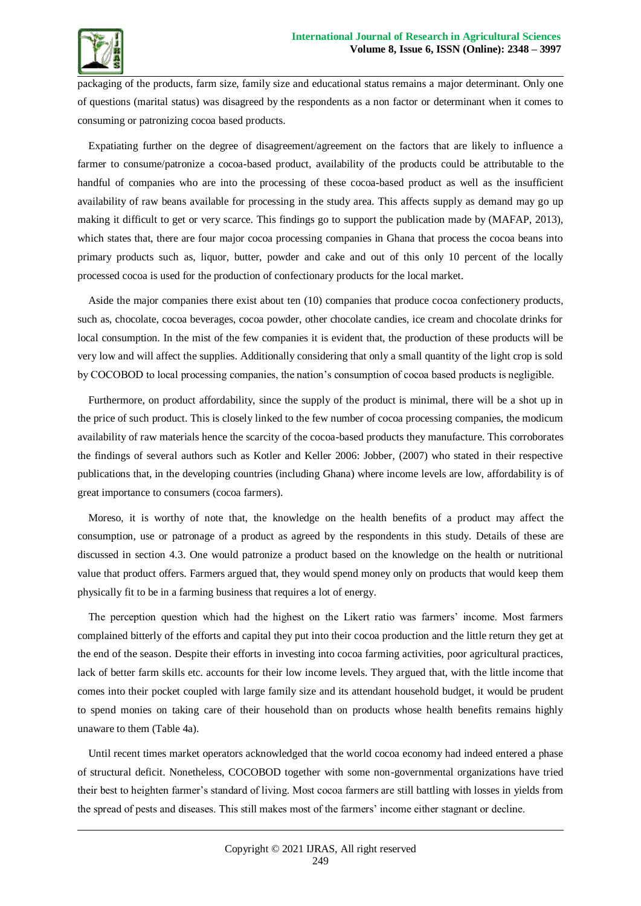![](_page_10_Picture_1.jpeg)

packaging of the products, farm size, family size and educational status remains a major determinant. Only one of questions (marital status) was disagreed by the respondents as a non factor or determinant when it comes to consuming or patronizing cocoa based products.

Expatiating further on the degree of disagreement/agreement on the factors that are likely to influence a farmer to consume/patronize a cocoa-based product, availability of the products could be attributable to the handful of companies who are into the processing of these cocoa-based product as well as the insufficient availability of raw beans available for processing in the study area. This affects supply as demand may go up making it difficult to get or very scarce. This findings go to support the publication made by (MAFAP, 2013), which states that, there are four major cocoa processing companies in Ghana that process the cocoa beans into primary products such as, liquor, butter, powder and cake and out of this only 10 percent of the locally processed cocoa is used for the production of confectionary products for the local market.

Aside the major companies there exist about ten (10) companies that produce cocoa confectionery products, such as, chocolate, cocoa beverages, cocoa powder, other chocolate candies, ice cream and chocolate drinks for local consumption. In the mist of the few companies it is evident that, the production of these products will be very low and will affect the supplies. Additionally considering that only a small quantity of the light crop is sold by COCOBOD to local processing companies, the nation's consumption of cocoa based products is negligible.

Furthermore, on product affordability, since the supply of the product is minimal, there will be a shot up in the price of such product. This is closely linked to the few number of cocoa processing companies, the modicum availability of raw materials hence the scarcity of the cocoa-based products they manufacture. This corroborates the findings of several authors such as Kotler and Keller 2006: Jobber, (2007) who stated in their respective publications that, in the developing countries (including Ghana) where income levels are low, affordability is of great importance to consumers (cocoa farmers).

Moreso, it is worthy of note that, the knowledge on the health benefits of a product may affect the consumption, use or patronage of a product as agreed by the respondents in this study. Details of these are discussed in section 4.3. One would patronize a product based on the knowledge on the health or nutritional value that product offers. Farmers argued that, they would spend money only on products that would keep them physically fit to be in a farming business that requires a lot of energy.

The perception question which had the highest on the Likert ratio was farmers' income. Most farmers complained bitterly of the efforts and capital they put into their cocoa production and the little return they get at the end of the season. Despite their efforts in investing into cocoa farming activities, poor agricultural practices, lack of better farm skills etc. accounts for their low income levels. They argued that, with the little income that comes into their pocket coupled with large family size and its attendant household budget, it would be prudent to spend monies on taking care of their household than on products whose health benefits remains highly unaware to them (Table 4a).

Until recent times market operators acknowledged that the world cocoa economy had indeed entered a phase of structural deficit. Nonetheless, COCOBOD together with some non-governmental organizations have tried their best to heighten farmer's standard of living. Most cocoa farmers are still battling with losses in yields from the spread of pests and diseases. This still makes most of the farmers' income either stagnant or decline.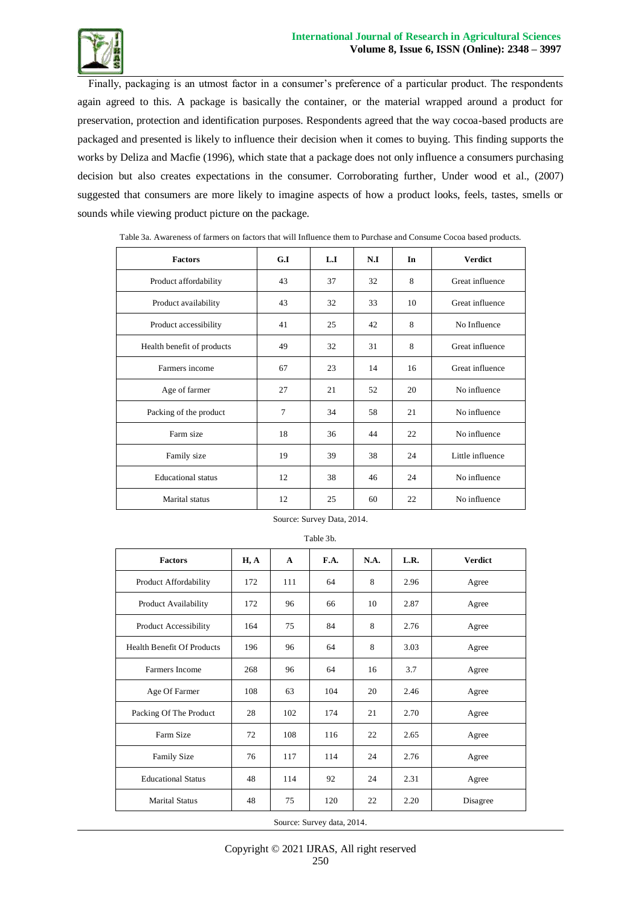![](_page_11_Picture_1.jpeg)

Finally, packaging is an utmost factor in a consumer's preference of a particular product. The respondents again agreed to this. A package is basically the container, or the material wrapped around a product for preservation, protection and identification purposes. Respondents agreed that the way cocoa-based products are packaged and presented is likely to influence their decision when it comes to buying. This finding supports the works by Deliza and Macfie (1996), which state that a package does not only influence a consumers purchasing decision but also creates expectations in the consumer. Corroborating further, Under wood et al., (2007) suggested that consumers are more likely to imagine aspects of how a product looks, feels, tastes, smells or sounds while viewing product picture on the package.

| <b>Factors</b>             | G.I | L.I | N.I | In | <b>Verdict</b>   |
|----------------------------|-----|-----|-----|----|------------------|
| Product affordability      | 43  | 37  | 32  | 8  | Great influence  |
| Product availability       | 43  | 32  | 33  | 10 | Great influence  |
| Product accessibility      | 41  | 25  | 42  | 8  | No Influence     |
| Health benefit of products | 49  | 32  | 31  | 8  | Great influence  |
| Farmers income             | 67  | 23  | 14  | 16 | Great influence  |
| Age of farmer              | 27  | 21  | 52  | 20 | No influence     |
| Packing of the product     | 7   | 34  | 58  | 21 | No influence     |
| Farm size                  | 18  | 36  | 44  | 22 | No influence     |
| Family size                | 19  | 39  | 38  | 24 | Little influence |
| <b>Educational</b> status  | 12  | 38  | 46  | 24 | No influence     |
| Marital status             | 12  | 25  | 60  | 22 | No influence     |

Table 3a. Awareness of farmers on factors that will Influence them to Purchase and Consume Cocoa based products*.*

### Source: Survey Data, 2014.

Table 3b.

| <b>Factors</b>                    | H, A | $\mathbf{A}$ | F.A. | N.A. | L.R. | <b>Verdict</b> |
|-----------------------------------|------|--------------|------|------|------|----------------|
| Product Affordability             | 172  | 111          | 64   | 8    | 2.96 | Agree          |
| Product Availability              | 172  | 96           | 66   | 10   | 2.87 | Agree          |
| Product Accessibility             | 164  | 75           | 84   | 8    | 2.76 | Agree          |
| <b>Health Benefit Of Products</b> | 196  | 96           | 64   | 8    | 3.03 | Agree          |
| Farmers Income                    | 268  | 96           | 64   | 16   | 3.7  | Agree          |
| Age Of Farmer                     | 108  | 63           | 104  | 20   | 2.46 | Agree          |
| Packing Of The Product            | 28   | 102          | 174  | 21   | 2.70 | Agree          |
| Farm Size                         | 72   | 108          | 116  | 22   | 2.65 | Agree          |
| <b>Family Size</b>                | 76   | 117          | 114  | 24   | 2.76 | Agree          |
| <b>Educational Status</b>         | 48   | 114          | 92   | 24   | 2.31 | Agree          |
| <b>Marital Status</b>             | 48   | 75           | 120  | 22   | 2.20 | Disagree       |

Source: Survey data, 2014.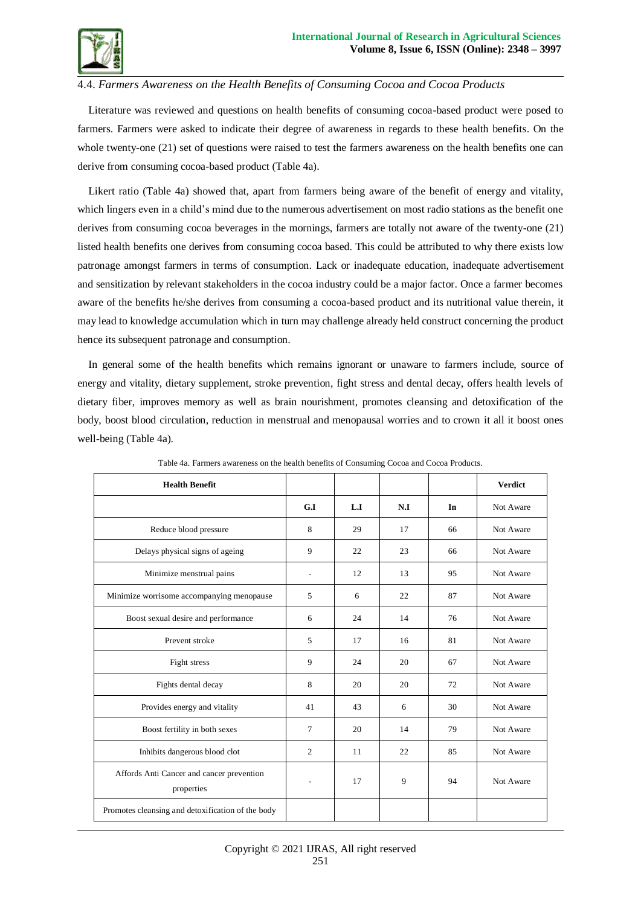![](_page_12_Picture_1.jpeg)

# 4.4. *Farmers Awareness on the Health Benefits of Consuming Cocoa and Cocoa Products*

Literature was reviewed and questions on health benefits of consuming cocoa-based product were posed to farmers. Farmers were asked to indicate their degree of awareness in regards to these health benefits. On the whole twenty-one (21) set of questions were raised to test the farmers awareness on the health benefits one can derive from consuming cocoa-based product (Table 4a).

Likert ratio (Table 4a) showed that, apart from farmers being aware of the benefit of energy and vitality, which lingers even in a child's mind due to the numerous advertisement on most radio stations as the benefit one derives from consuming cocoa beverages in the mornings, farmers are totally not aware of the twenty-one (21) listed health benefits one derives from consuming cocoa based. This could be attributed to why there exists low patronage amongst farmers in terms of consumption. Lack or inadequate education, inadequate advertisement and sensitization by relevant stakeholders in the cocoa industry could be a major factor. Once a farmer becomes aware of the benefits he/she derives from consuming a cocoa-based product and its nutritional value therein, it may lead to knowledge accumulation which in turn may challenge already held construct concerning the product hence its subsequent patronage and consumption.

In general some of the health benefits which remains ignorant or unaware to farmers include, source of energy and vitality, dietary supplement, stroke prevention, fight stress and dental decay, offers health levels of dietary fiber, improves memory as well as brain nourishment, promotes cleansing and detoxification of the body, boost blood circulation, reduction in menstrual and menopausal worries and to crown it all it boost ones well-being (Table 4a).

| <b>Health Benefit</b>                                   |                          |     |     |    | <b>Verdict</b> |
|---------------------------------------------------------|--------------------------|-----|-----|----|----------------|
|                                                         | G.I                      | L.I | N.I | In | Not Aware      |
| Reduce blood pressure                                   | 8                        | 29  | 17  | 66 | Not Aware      |
| Delays physical signs of ageing                         | 9                        | 22  | 23  | 66 | Not Aware      |
| Minimize menstrual pains                                | $\overline{\phantom{0}}$ | 12  | 13  | 95 | Not Aware      |
| Minimize worrisome accompanying menopause               | 5                        | 6   | 22  | 87 | Not Aware      |
| Boost sexual desire and performance                     | 6                        | 24  | 14  | 76 | Not Aware      |
| Prevent stroke                                          | 5                        | 17  | 16  | 81 | Not Aware      |
| Fight stress                                            | 9                        | 24  | 20  | 67 | Not Aware      |
| Fights dental decay                                     | 8                        | 20  | 20  | 72 | Not Aware      |
| Provides energy and vitality                            | 41                       | 43  | 6   | 30 | Not Aware      |
| Boost fertility in both sexes                           | $\tau$                   | 20  | 14  | 79 | Not Aware      |
| Inhibits dangerous blood clot                           | $\overline{2}$           | 11  | 22  | 85 | Not Aware      |
| Affords Anti Cancer and cancer prevention<br>properties |                          | 17  | 9   | 94 | Not Aware      |
| Promotes cleansing and detoxification of the body       |                          |     |     |    |                |

Table 4a. Farmers awareness on the health benefits of Consuming Cocoa and Cocoa Products.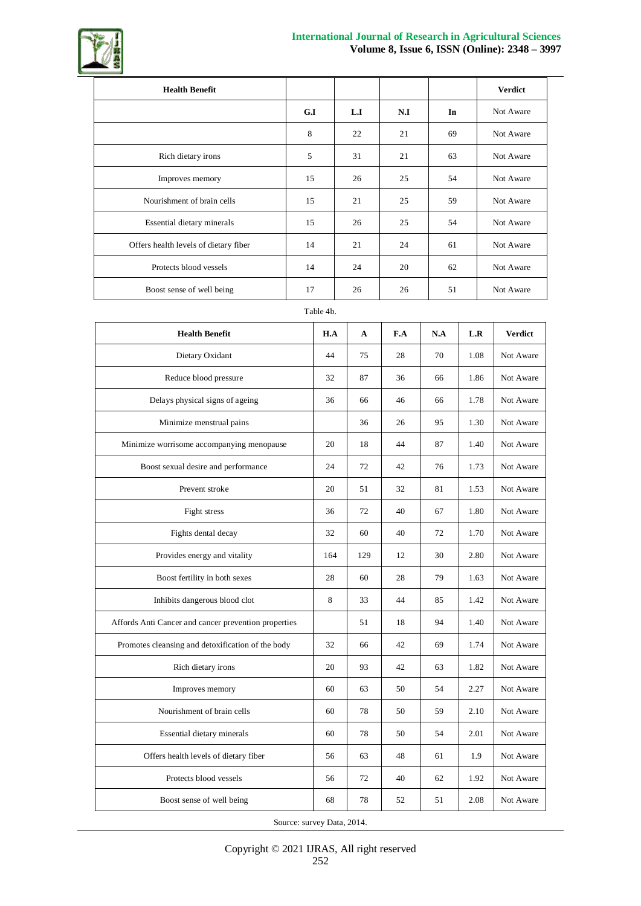![](_page_13_Picture_0.jpeg)

![](_page_13_Picture_1.jpeg)

| <b>Health Benefit</b>                 |     |     |     |    | <b>Verdict</b> |
|---------------------------------------|-----|-----|-----|----|----------------|
|                                       | G.I | L.I | N.I | In | Not Aware      |
|                                       | 8   | 22  | 21  | 69 | Not Aware      |
| Rich dietary irons                    | 5   | 31  | 21  | 63 | Not Aware      |
| Improves memory                       | 15  | 26  | 25  | 54 | Not Aware      |
| Nourishment of brain cells            | 15  | 21  | 25  | 59 | Not Aware      |
| Essential dietary minerals            | 15  | 26  | 25  | 54 | Not Aware      |
| Offers health levels of dietary fiber | 14  | 21  | 24  | 61 | Not Aware      |
| Protects blood vessels                | 14  | 24  | 20  | 62 | Not Aware      |
| Boost sense of well being             | 17  | 26  | 26  | 51 | Not Aware      |

### Table 4b.

| <b>Health Benefit</b>                                | H.A | A   | F.A | N.A | L.R  | <b>Verdict</b> |
|------------------------------------------------------|-----|-----|-----|-----|------|----------------|
| Dietary Oxidant                                      | 44  | 75  | 28  | 70  | 1.08 | Not Aware      |
| Reduce blood pressure                                | 32  | 87  | 36  | 66  | 1.86 | Not Aware      |
| Delays physical signs of ageing                      | 36  | 66  | 46  | 66  | 1.78 | Not Aware      |
| Minimize menstrual pains                             |     | 36  | 26  | 95  | 1.30 | Not Aware      |
| Minimize worrisome accompanying menopause            | 20  | 18  | 44  | 87  | 1.40 | Not Aware      |
| Boost sexual desire and performance                  | 24  | 72  | 42  | 76  | 1.73 | Not Aware      |
| Prevent stroke                                       | 20  | 51  | 32  | 81  | 1.53 | Not Aware      |
| Fight stress                                         | 36  | 72  | 40  | 67  | 1.80 | Not Aware      |
| Fights dental decay                                  | 32  | 60  | 40  | 72  | 1.70 | Not Aware      |
| Provides energy and vitality                         | 164 | 129 | 12  | 30  | 2.80 | Not Aware      |
| Boost fertility in both sexes                        | 28  | 60  | 28  | 79  | 1.63 | Not Aware      |
| Inhibits dangerous blood clot                        | 8   | 33  | 44  | 85  | 1.42 | Not Aware      |
| Affords Anti Cancer and cancer prevention properties |     | 51  | 18  | 94  | 1.40 | Not Aware      |
| Promotes cleansing and detoxification of the body    | 32  | 66  | 42  | 69  | 1.74 | Not Aware      |
| Rich dietary irons                                   | 20  | 93  | 42  | 63  | 1.82 | Not Aware      |
| Improves memory                                      | 60  | 63  | 50  | 54  | 2.27 | Not Aware      |
| Nourishment of brain cells                           | 60  | 78  | 50  | 59  | 2.10 | Not Aware      |
| Essential dietary minerals                           | 60  | 78  | 50  | 54  | 2.01 | Not Aware      |
| Offers health levels of dietary fiber                | 56  | 63  | 48  | 61  | 1.9  | Not Aware      |
| Protects blood vessels                               | 56  | 72  | 40  | 62  | 1.92 | Not Aware      |
| Boost sense of well being                            | 68  | 78  | 52  | 51  | 2.08 | Not Aware      |

Source: survey Data, 2014.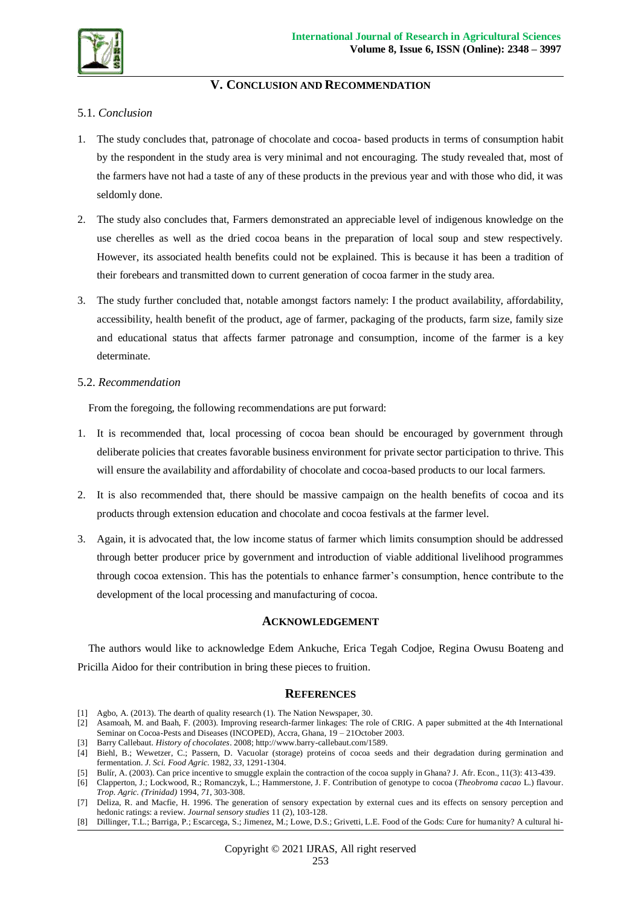![](_page_14_Picture_0.jpeg)

## **V. CONCLUSION AND RECOMMENDATION**

### 5.1. *Conclusion*

- 1. The study concludes that, patronage of chocolate and cocoa- based products in terms of consumption habit by the respondent in the study area is very minimal and not encouraging. The study revealed that, most of the farmers have not had a taste of any of these products in the previous year and with those who did, it was seldomly done.
- 2. The study also concludes that, Farmers demonstrated an appreciable level of indigenous knowledge on the use cherelles as well as the dried cocoa beans in the preparation of local soup and stew respectively. However, its associated health benefits could not be explained. This is because it has been a tradition of their forebears and transmitted down to current generation of cocoa farmer in the study area.
- 3. The study further concluded that, notable amongst factors namely: I the product availability, affordability, accessibility, health benefit of the product, age of farmer, packaging of the products, farm size, family size and educational status that affects farmer patronage and consumption, income of the farmer is a key determinate.

### 5.2. *Recommendation*

From the foregoing, the following recommendations are put forward:

- 1. It is recommended that, local processing of cocoa bean should be encouraged by government through deliberate policies that creates favorable business environment for private sector participation to thrive. This will ensure the availability and affordability of chocolate and cocoa-based products to our local farmers.
- 2. It is also recommended that, there should be massive campaign on the health benefits of cocoa and its products through extension education and chocolate and cocoa festivals at the farmer level.
- 3. Again, it is advocated that, the low income status of farmer which limits consumption should be addressed through better producer price by government and introduction of viable additional livelihood programmes through cocoa extension. This has the potentials to enhance farmer's consumption, hence contribute to the development of the local processing and manufacturing of cocoa.

### **ACKNOWLEDGEMENT**

The authors would like to acknowledge Edem Ankuche, Erica Tegah Codjoe, Regina Owusu Boateng and Pricilla Aidoo for their contribution in bring these pieces to fruition.

### **REFERENCES**

- [1] Agbo, A. (2013). The dearth of quality research (1). The Nation Newspaper, 30.
- [2] Asamoah, M. and Baah, F. (2003). Improving research-farmer linkages: The role of CRIG. A paper submitted at the 4th International Seminar on Cocoa-Pests and Diseases (INCOPED), Accra, Ghana, 19 – 21October 2003.
- [3] Barry Callebaut. *History of chocolates*. 2008; http://www.barry-callebaut.com/1589.

- [5] Bulír, A. (2003). Can price incentive to smuggle explain the contraction of the cocoa supply in Ghana? J. Afr. Econ., 11(3): 413-439.
- [6] Clapperton, J.; Lockwood, R.; Romanczyk, L.; Hammerstone, J. F. Contribution of genotype to cocoa (*Theobroma cacao* L.) flavour. *Trop. Agric. (Trinidad)* 1994, *71*, 303-308.
- [7] Deliza, R. and Macfie, H. 1996. The generation of sensory expectation by external cues and its effects on sensory perception and hedonic ratings: a review. *Journal sensory studies* 11 (2), 103-128.
- [8] Dillinger, T.L.; Barriga, P.; Escarcega, S.; Jimenez, M.; Lowe, D.S.; Grivetti, L.E. Food of the Gods: Cure for humanity? A cultural hi-

<sup>[4]</sup> Biehl, B.; Wewetzer, C.; Passern, D. Vacuolar (storage) proteins of cocoa seeds and their degradation during germination and fermentation. *J. Sci. Food Agric.* 1982, *33*, 1291-1304.